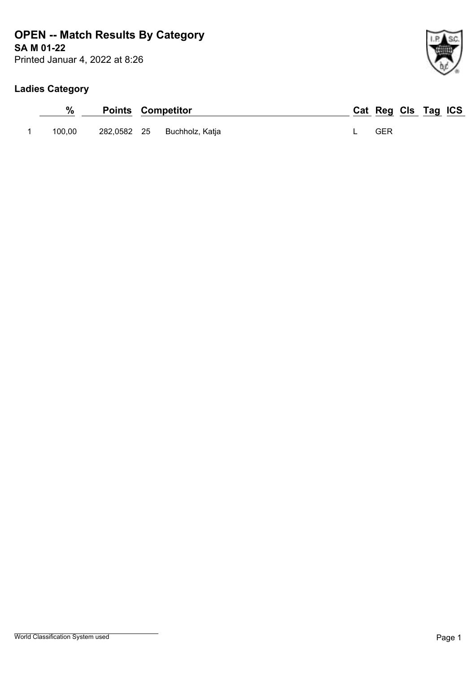## **SA M 01-22 OPEN -- Match Results By Category**

Printed Januar 4, 2022 at 8:26

### **Ladies Category**

|        | <b>Points Competitor</b> |                 | Cat Reg Cls Tag ICS |  |  |
|--------|--------------------------|-----------------|---------------------|--|--|
| 100.00 | 282,0582 25              | Buchholz, Katja | GER                 |  |  |

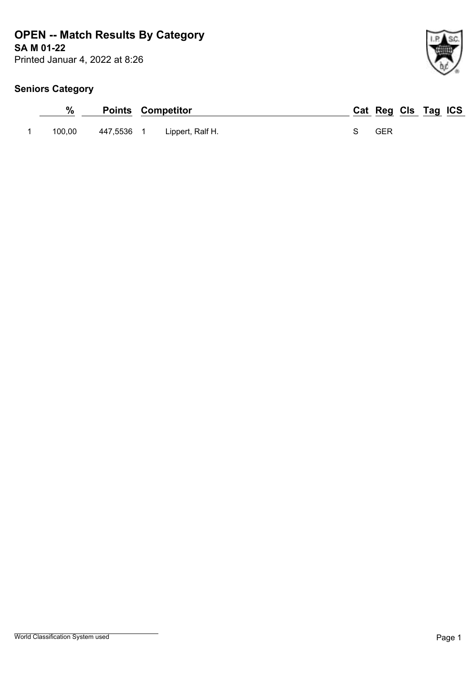## **SA M 01-22 OPEN -- Match Results By Category**

Printed Januar 4, 2022 at 8:26

| %      | <b>Points Competitor</b> |                  |  | Cat Reg Cls Tag ICS |  |  |
|--------|--------------------------|------------------|--|---------------------|--|--|
| 100.00 | 447,5536 1               | Lippert, Ralf H. |  | GER                 |  |  |

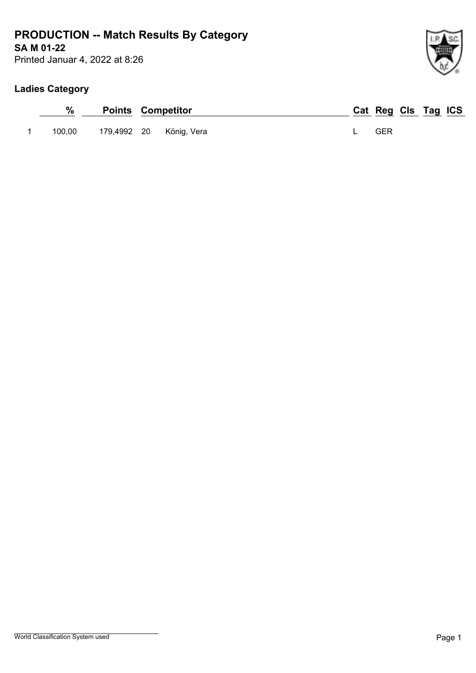## **SA M 01-22 PRODUCTION -- Match Results By Category**

Printed Januar 4, 2022 at 8:26

### **Ladies Category**

| %      | <b>Points Competitor</b> |                         |  | Cat Reg Cls Tag ICS |  |  |
|--------|--------------------------|-------------------------|--|---------------------|--|--|
| 100.00 |                          | 179,4992 20 König, Vera |  | GER                 |  |  |

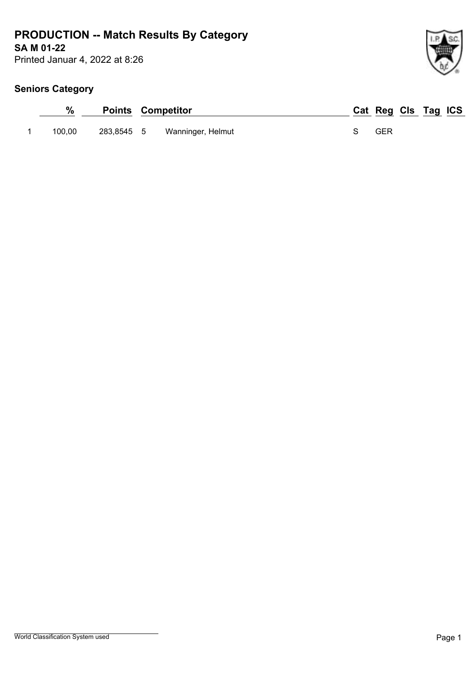## **SA M 01-22 PRODUCTION -- Match Results By Category**

Printed Januar 4, 2022 at 8:26

| %      | <b>Points Competitor</b> |                              |  | Cat Reg Cls Tag ICS |  |  |
|--------|--------------------------|------------------------------|--|---------------------|--|--|
| 100.00 |                          | 283,8545 5 Wanninger, Helmut |  | GER                 |  |  |

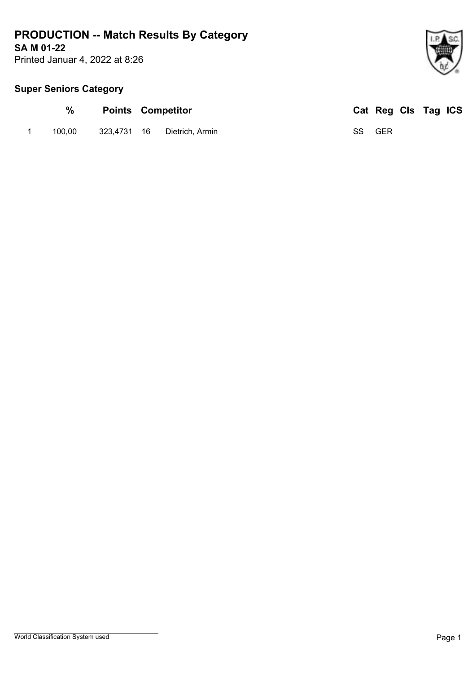## **SA M 01-22 PRODUCTION -- Match Results By Category**

Printed Januar 4, 2022 at 8:26

## **Super Seniors Category**

| %      | <b>Points Competitor</b> |                             |        | Cat Reg Cls Tag ICS |  |  |
|--------|--------------------------|-----------------------------|--------|---------------------|--|--|
| 100.00 |                          | 323,4731 16 Dietrich, Armin | SS GER |                     |  |  |

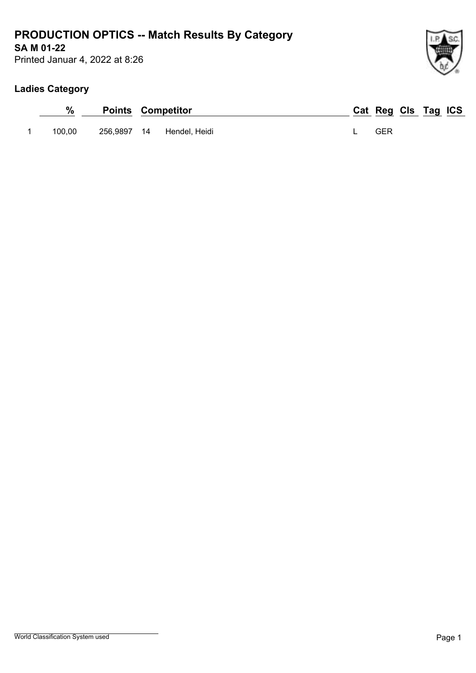## **SA M 01-22 PRODUCTION OPTICS -- Match Results By Category**

Printed Januar 4, 2022 at 8:26

### **Ladies Category**

| %      | <b>Points Competitor</b> |                           |  | Cat Reg Cls Tag ICS |  |  |
|--------|--------------------------|---------------------------|--|---------------------|--|--|
| 100.00 |                          | 256,9897 14 Hendel, Heidi |  | GER                 |  |  |

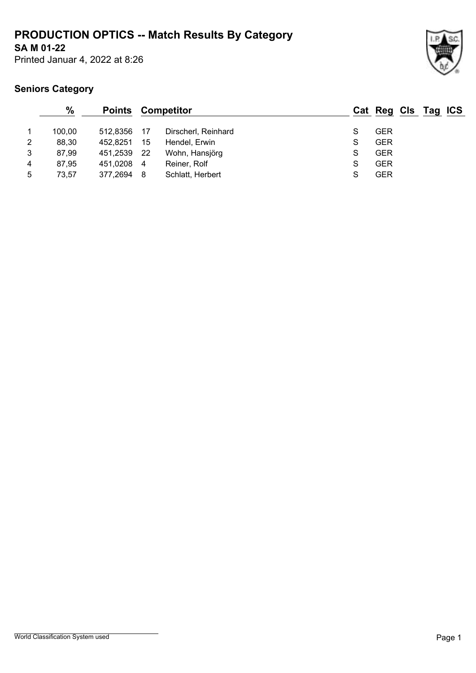## **SA M 01-22 PRODUCTION OPTICS -- Match Results By Category**

Printed Januar 4, 2022 at 8:26



|   | $\frac{0}{0}$ | <b>Points</b> |                | Competitor          |   | Cat Reg Cls Tag ICS |  |  |
|---|---------------|---------------|----------------|---------------------|---|---------------------|--|--|
|   | 100.00        | 512.8356      | - 17           | Dirscherl, Reinhard | S | GER                 |  |  |
| 2 | 88,30         | 452.8251      | 15             | Hendel, Erwin       | S | <b>GER</b>          |  |  |
| 3 | 87,99         | 451.2539      | - 22           | Wohn, Hansjörg      | S | <b>GER</b>          |  |  |
| 4 | 87,95         | 451,0208      | $\overline{4}$ | Reiner, Rolf        | S | <b>GER</b>          |  |  |
| 5 | 73,57         | 377,2694      | - 8            | Schlatt, Herbert    | S | <b>GER</b>          |  |  |
|   |               |               |                |                     |   |                     |  |  |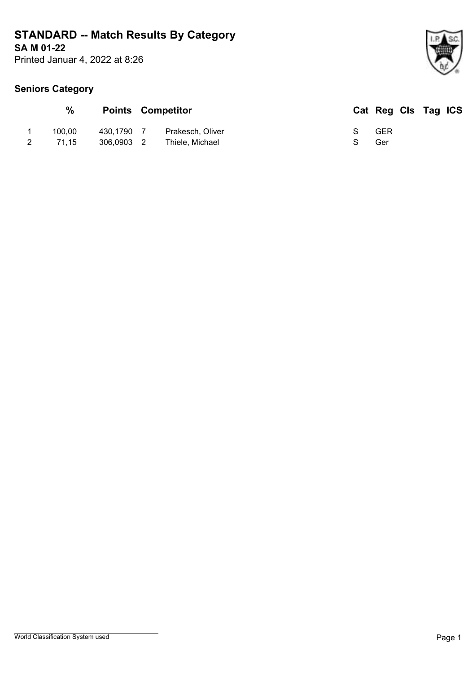# **SA M 01-22 STANDARD -- Match Results By Category**

Printed Januar 4, 2022 at 8:26

| $\frac{0}{0}$ |            | <b>Points Competitor</b> | Cat Reg Cls Tag ICS |  |  |
|---------------|------------|--------------------------|---------------------|--|--|
| 100.00        | 430,1790   | Prakesch, Oliver         | GER                 |  |  |
| 71.15         | 306.0903 2 | Thiele, Michael          | Ger                 |  |  |